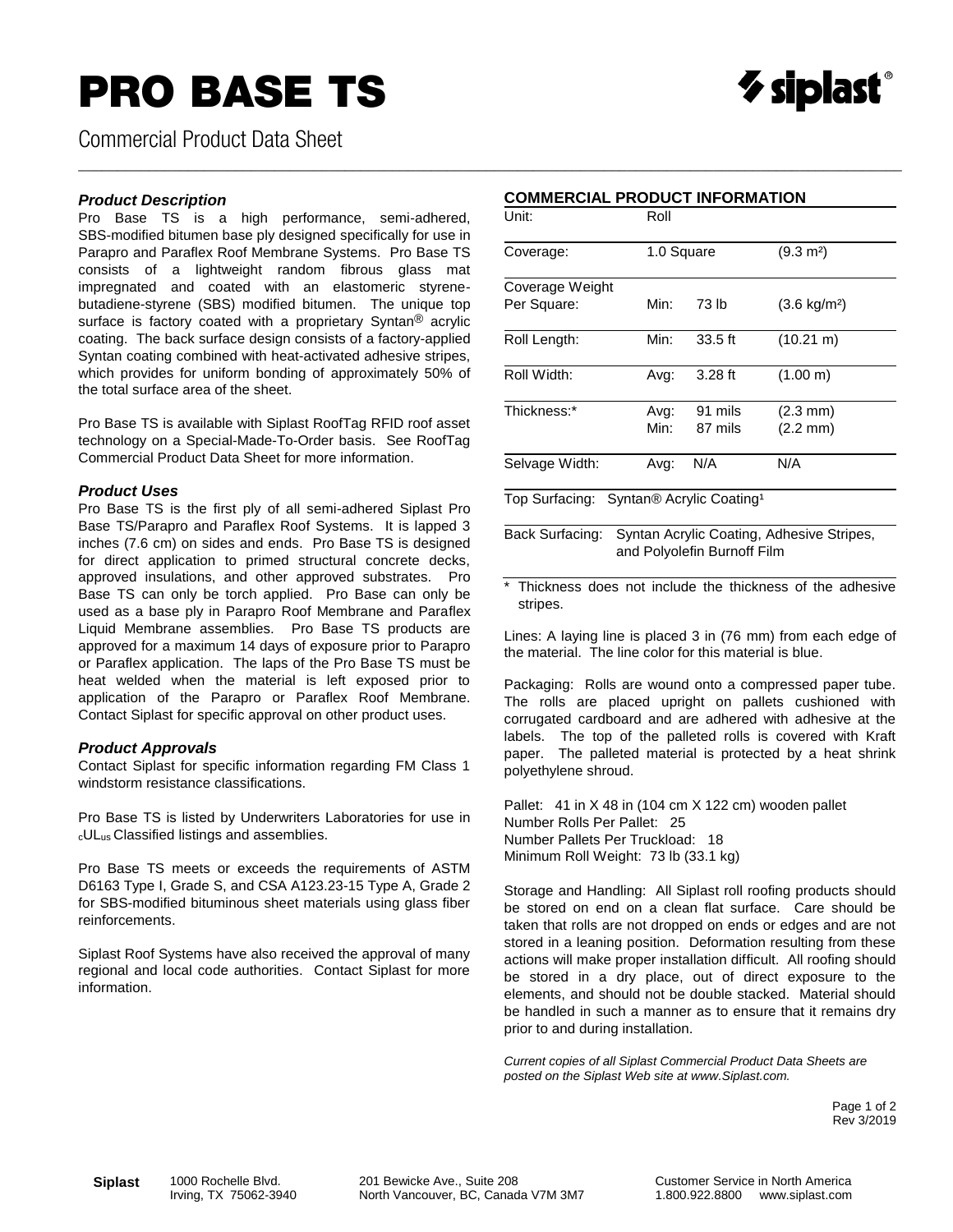## PRO BASE TS



Commercial Product Data Sheet

#### *Product Description*

Pro Base TS is a high performance, semi-adhered, SBS-modified bitumen base ply designed specifically for use in Parapro and Paraflex Roof Membrane Systems. Pro Base TS consists of a lightweight random fibrous glass mat impregnated and coated with an elastomeric styrenebutadiene-styrene (SBS) modified bitumen. The unique top surface is factory coated with a proprietary Syntan® acrylic coating. The back surface design consists of a factory-applied Syntan coating combined with heat-activated adhesive stripes, which provides for uniform bonding of approximately 50% of the total surface area of the sheet.

Pro Base TS is available with Siplast RoofTag RFID roof asset technology on a Special-Made-To-Order basis. See RoofTag Commercial Product Data Sheet for more information.

#### *Product Uses*

Pro Base TS is the first ply of all semi-adhered Siplast Pro Base TS/Parapro and Paraflex Roof Systems. It is lapped 3 inches (7.6 cm) on sides and ends. Pro Base TS is designed for direct application to primed structural concrete decks, approved insulations, and other approved substrates. Pro Base TS can only be torch applied. Pro Base can only be used as a base ply in Parapro Roof Membrane and Paraflex Liquid Membrane assemblies. Pro Base TS products are approved for a maximum 14 days of exposure prior to Parapro or Paraflex application. The laps of the Pro Base TS must be heat welded when the material is left exposed prior to application of the Parapro or Paraflex Roof Membrane. Contact Siplast for specific approval on other product uses.

#### *Product Approvals*

Contact Siplast for specific information regarding FM Class 1 windstorm resistance classifications.

Pro Base TS is listed by Underwriters Laboratories for use in <sup>c</sup>ULus Classified listings and assemblies.

Pro Base TS meets or exceeds the requirements of ASTM D6163 Type I, Grade S, and CSA A123.23-15 Type A, Grade 2 for SBS-modified bituminous sheet materials using glass fiber reinforcements.

Siplast Roof Systems have also received the approval of many regional and local code authorities. Contact Siplast for more information.

\_\_\_\_\_\_\_\_\_\_\_\_\_\_\_\_\_\_\_\_\_\_\_\_\_\_\_\_\_\_\_\_\_\_\_\_\_\_\_\_\_\_\_\_\_\_\_\_\_\_\_\_\_\_\_\_\_\_\_\_\_\_\_\_\_\_\_\_\_\_\_\_\_\_\_\_\_\_\_\_\_\_\_\_\_\_\_\_\_\_\_\_\_\_\_\_\_\_\_\_\_\_\_\_\_

| Unit:                                                    | Roll         |                    |                                          |  |  |  |
|----------------------------------------------------------|--------------|--------------------|------------------------------------------|--|--|--|
| Coverage:                                                | 1.0 Square   |                    | $(9.3 \text{ m}^2)$                      |  |  |  |
| Coverage Weight<br>Per Square:                           | Min:         | 73 lb              | $(3.6 \text{ kg/m}^2)$                   |  |  |  |
| Roll Length:                                             | Min:         | $33.5$ ft          | $(10.21 \text{ m})$                      |  |  |  |
| Roll Width:                                              | Avg:         | $3.28$ ft          | (1.00 m)                                 |  |  |  |
| Thickness:*                                              | Avg:<br>Min: | 91 mils<br>87 mils | $(2.3 \text{ mm})$<br>$(2.2 \text{ mm})$ |  |  |  |
| Selvage Width:                                           | Avg:         | N/A                | N/A                                      |  |  |  |
| $T_{\text{max}}$ Currenteed Currence Assuring Continuity |              |                    |                                          |  |  |  |

Top Surfacing: Syntan*®* Acrylic Coating¹

Back Surfacing: Syntan Acrylic Coating, Adhesive Stripes, and Polyolefin Burnoff Film

\* Thickness does not include the thickness of the adhesive stripes.

Lines: A laying line is placed 3 in (76 mm) from each edge of the material. The line color for this material is blue.

Packaging: Rolls are wound onto a compressed paper tube. The rolls are placed upright on pallets cushioned with corrugated cardboard and are adhered with adhesive at the labels. The top of the palleted rolls is covered with Kraft paper. The palleted material is protected by a heat shrink polyethylene shroud.

Pallet: 41 in X 48 in (104 cm X 122 cm) wooden pallet Number Rolls Per Pallet: 25 Number Pallets Per Truckload: 18 Minimum Roll Weight: 73 lb (33.1 kg)

Storage and Handling: All Siplast roll roofing products should be stored on end on a clean flat surface. Care should be taken that rolls are not dropped on ends or edges and are not stored in a leaning position. Deformation resulting from these actions will make proper installation difficult. All roofing should be stored in a dry place, out of direct exposure to the elements, and should not be double stacked. Material should be handled in such a manner as to ensure that it remains dry prior to and during installation.

*Current copies of all Siplast Commercial Product Data Sheets are posted on the Siplast Web site at www.Siplast.com.*

> Page 1 of 2 Rev 3/2019